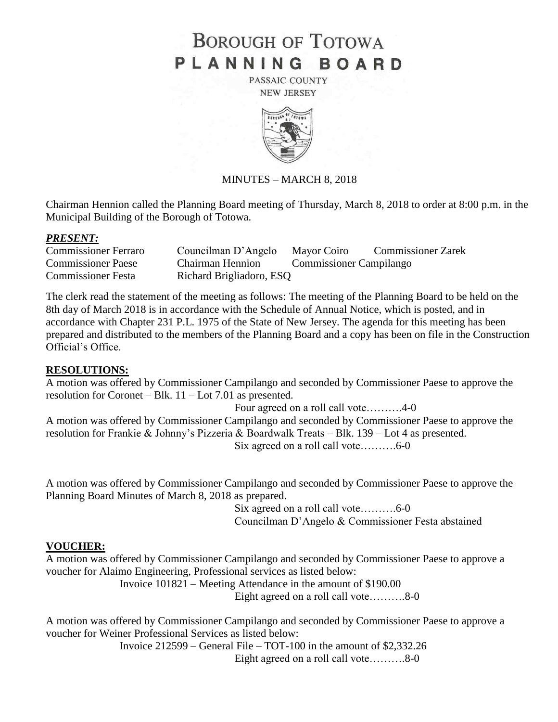# **BOROUGH OF TOTOWA** PLANNING BOARD

PASSAIC COUNTY **NEW JERSEY** 



## MINUTES – MARCH 8, 2018

Chairman Hennion called the Planning Board meeting of Thursday, March 8, 2018 to order at 8:00 p.m. in the Municipal Building of the Borough of Totowa.

#### *PRESENT:*

| <b>Commissioner Ferraro</b> | Councilman D'Angelo      | Mayor Coiro                    | <b>Commissioner Zarek</b> |
|-----------------------------|--------------------------|--------------------------------|---------------------------|
| <b>Commissioner Paese</b>   | <b>Chairman Hennion</b>  | <b>Commissioner Campilango</b> |                           |
| <b>Commissioner Festa</b>   | Richard Brigliadoro, ESQ |                                |                           |

The clerk read the statement of the meeting as follows: The meeting of the Planning Board to be held on the 8th day of March 2018 is in accordance with the Schedule of Annual Notice, which is posted, and in accordance with Chapter 231 P.L. 1975 of the State of New Jersey. The agenda for this meeting has been prepared and distributed to the members of the Planning Board and a copy has been on file in the Construction Official's Office.

## **RESOLUTIONS:**

A motion was offered by Commissioner Campilango and seconded by Commissioner Paese to approve the resolution for Coronet – Blk. 11 – Lot 7.01 as presented.

Four agreed on a roll call vote……….4-0

A motion was offered by Commissioner Campilango and seconded by Commissioner Paese to approve the resolution for Frankie & Johnny's Pizzeria & Boardwalk Treats – Blk. 139 – Lot 4 as presented. Six agreed on a roll call vote……….6-0

A motion was offered by Commissioner Campilango and seconded by Commissioner Paese to approve the Planning Board Minutes of March 8, 2018 as prepared.

> Six agreed on a roll call vote……….6-0 Councilman D'Angelo & Commissioner Festa abstained

## **VOUCHER:**

A motion was offered by Commissioner Campilango and seconded by Commissioner Paese to approve a voucher for Alaimo Engineering, Professional services as listed below:

Invoice 101821 – Meeting Attendance in the amount of \$190.00

Eight agreed on a roll call vote……….8-0

A motion was offered by Commissioner Campilango and seconded by Commissioner Paese to approve a voucher for Weiner Professional Services as listed below:

> Invoice 212599 – General File – TOT-100 in the amount of \$2,332.26 Eight agreed on a roll call vote……….8-0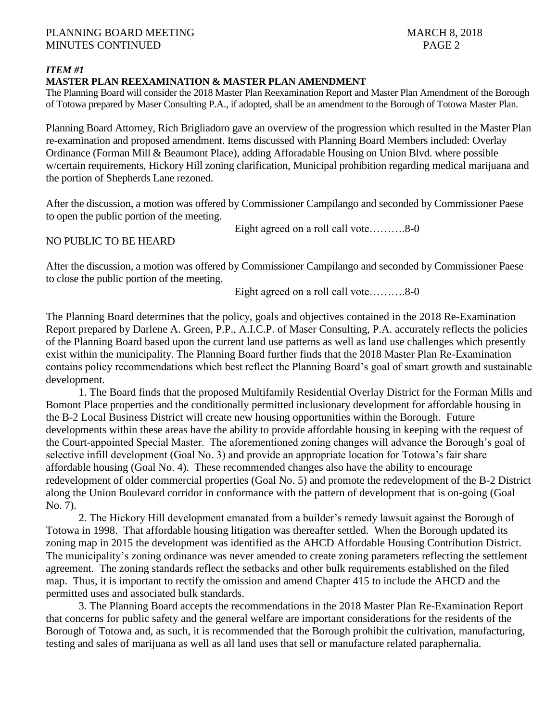## *ITEM #1*

#### **MASTER PLAN REEXAMINATION & MASTER PLAN AMENDMENT**

The Planning Board will consider the 2018 Master Plan Reexamination Report and Master Plan Amendment of the Borough of Totowa prepared by Maser Consulting P.A., if adopted, shall be an amendment to the Borough of Totowa Master Plan.

Planning Board Attorney, Rich Brigliadoro gave an overview of the progression which resulted in the Master Plan re-examination and proposed amendment. Items discussed with Planning Board Members included: Overlay Ordinance (Forman Mill & Beaumont Place), adding Afforadable Housing on Union Blvd. where possible w/certain requirements, Hickory Hill zoning clarification, Municipal prohibition regarding medical marijuana and the portion of Shepherds Lane rezoned.

After the discussion, a motion was offered by Commissioner Campilango and seconded by Commissioner Paese to open the public portion of the meeting.

NO PUBLIC TO BE HEARD

Eight agreed on a roll call vote……….8-0

After the discussion, a motion was offered by Commissioner Campilango and seconded by Commissioner Paese to close the public portion of the meeting.

Eight agreed on a roll call vote……….8-0

The Planning Board determines that the policy, goals and objectives contained in the 2018 Re-Examination Report prepared by Darlene A. Green, P.P., A.I.C.P. of Maser Consulting, P.A. accurately reflects the policies of the Planning Board based upon the current land use patterns as well as land use challenges which presently exist within the municipality. The Planning Board further finds that the 2018 Master Plan Re-Examination contains policy recommendations which best reflect the Planning Board's goal of smart growth and sustainable development.

1. The Board finds that the proposed Multifamily Residential Overlay District for the Forman Mills and Bomont Place properties and the conditionally permitted inclusionary development for affordable housing in the B-2 Local Business District will create new housing opportunities within the Borough. Future developments within these areas have the ability to provide affordable housing in keeping with the request of the Court-appointed Special Master. The aforementioned zoning changes will advance the Borough's goal of selective infill development (Goal No. 3) and provide an appropriate location for Totowa's fair share affordable housing (Goal No. 4). These recommended changes also have the ability to encourage redevelopment of older commercial properties (Goal No. 5) and promote the redevelopment of the B-2 District along the Union Boulevard corridor in conformance with the pattern of development that is on-going (Goal No. 7).

2. The Hickory Hill development emanated from a builder's remedy lawsuit against the Borough of Totowa in 1998. That affordable housing litigation was thereafter settled. When the Borough updated its zoning map in 2015 the development was identified as the AHCD Affordable Housing Contribution District. The municipality's zoning ordinance was never amended to create zoning parameters reflecting the settlement agreement. The zoning standards reflect the setbacks and other bulk requirements established on the filed map. Thus, it is important to rectify the omission and amend Chapter 415 to include the AHCD and the permitted uses and associated bulk standards.

3. The Planning Board accepts the recommendations in the 2018 Master Plan Re-Examination Report that concerns for public safety and the general welfare are important considerations for the residents of the Borough of Totowa and, as such, it is recommended that the Borough prohibit the cultivation, manufacturing, testing and sales of marijuana as well as all land uses that sell or manufacture related paraphernalia.